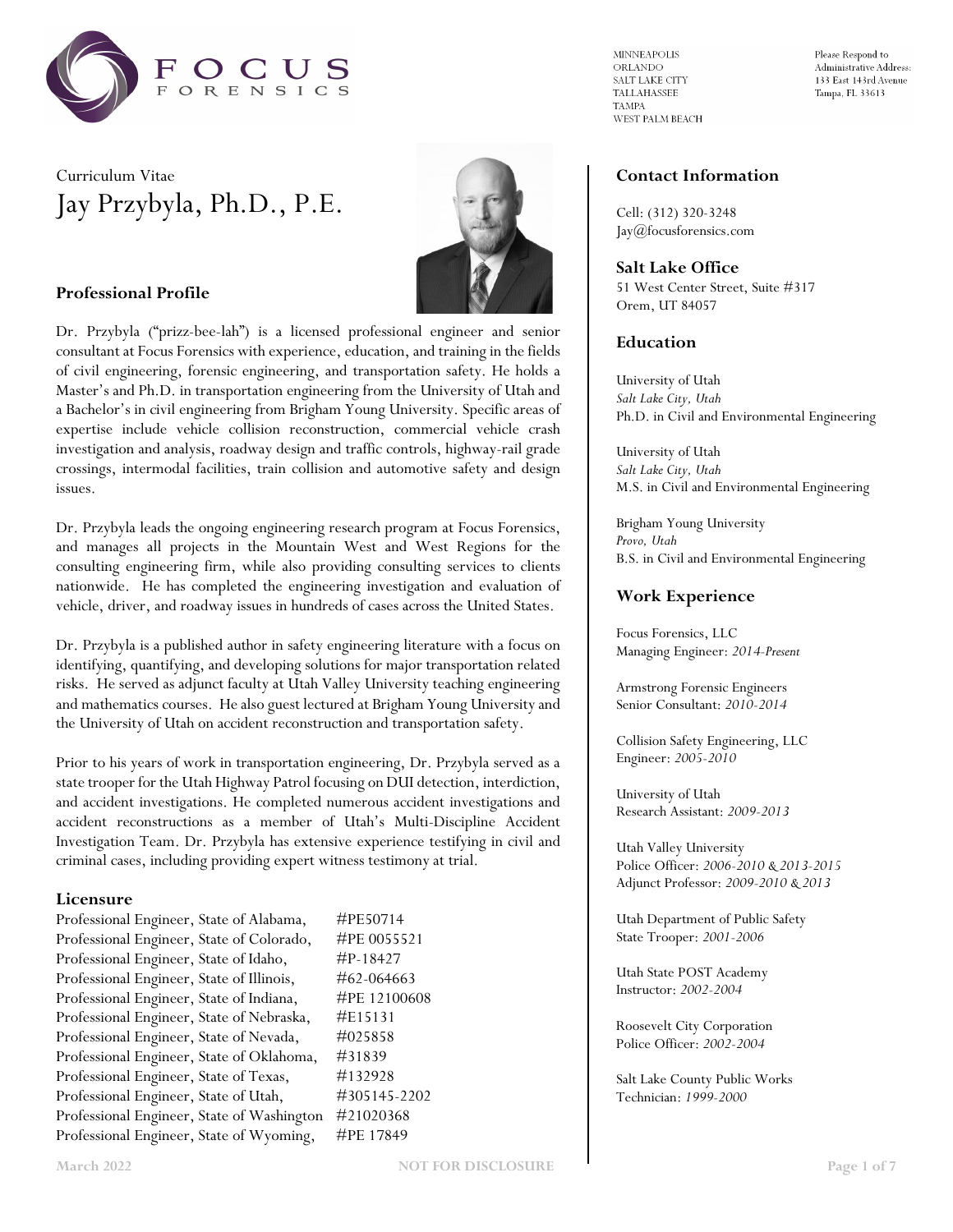

# Curriculum Vitae Jay Przybyla, Ph.D., P.E.



### **Professional Profile**

Dr. Przybyla ("prizz-bee-lah") is a licensed professional engineer and senior consultant at Focus Forensics with experience, education, and training in the fields of civil engineering, forensic engineering, and transportation safety. He holds a Master's and Ph.D. in transportation engineering from the University of Utah and a Bachelor's in civil engineering from Brigham Young University. Specific areas of expertise include vehicle collision reconstruction, commercial vehicle crash investigation and analysis, roadway design and traffic controls, highway-rail grade crossings, intermodal facilities, train collision and automotive safety and design issues.

Dr. Przybyla leads the ongoing engineering research program at Focus Forensics, and manages all projects in the Mountain West and West Regions for the consulting engineering firm, while also providing consulting services to clients nationwide. He has completed the engineering investigation and evaluation of vehicle, driver, and roadway issues in hundreds of cases across the United States.

Dr. Przybyla is a published author in safety engineering literature with a focus on identifying, quantifying, and developing solutions for major transportation related risks. He served as adjunct faculty at Utah Valley University teaching engineering and mathematics courses. He also guest lectured at Brigham Young University and the University of Utah on accident reconstruction and transportation safety.

Prior to his years of work in transportation engineering, Dr. Przybyla served as a state trooper for the Utah Highway Patrol focusing on DUI detection, interdiction, and accident investigations. He completed numerous accident investigations and accident reconstructions as a member of Utah's Multi-Discipline Accident Investigation Team. Dr. Przybyla has extensive experience testifying in civil and criminal cases, including providing expert witness testimony at trial.

### **Licensure**

| #PE50714   |
|------------|
| #PE 00555  |
| #P-18427   |
| #62-06466  |
| #PE 12100  |
| #E15131    |
| #025858    |
| #31839     |
| #132928    |
| #305145-22 |
| #21020368  |
| #PE 17849  |
|            |

0055521  $-064663$ Professional Engineer, State of Indiana, #PE 12100608 Professional Engineer, State of Utah, #305145-2202  $\texttt{MINNEAPOLIS}$ **ORLANDO** SALT LAKE CITY TALLAHASSEE **TAMPA** WEST PALM BEACH Please Respond to Administrative Address: 133 East 143rd Avenue Tampa, FL 33613

### **Contact Information**

Cell: (312) 320-3248 Jay@focusforensics.com

### **Salt Lake Office**

51 West Center Street, Suite #317 Orem, UT 84057

### **Education**

University of Utah *Salt Lake City, Utah* Ph.D. in Civil and Environmental Engineering

University of Utah *Salt Lake City, Utah* M.S. in Civil and Environmental Engineering

Brigham Young University *Provo, Utah* B.S. in Civil and Environmental Engineering

### **Work Experience**

Focus Forensics, LLC Managing Engineer: *2014-Present*

Armstrong Forensic Engineers Senior Consultant: *2010-2014*

Collision Safety Engineering, LLC Engineer: *2005-2010*

University of Utah Research Assistant: *2009-2013*

Utah Valley University Police Officer: *2006-2010 & 2013-2015* Adjunct Professor: *2009-2010 & 2013*

Utah Department of Public Safety State Trooper: *2001-2006*

Utah State POST Academy Instructor: *2002-2004*

Roosevelt City Corporation Police Officer: *2002-2004*

Salt Lake County Public Works Technician: *1999-2000*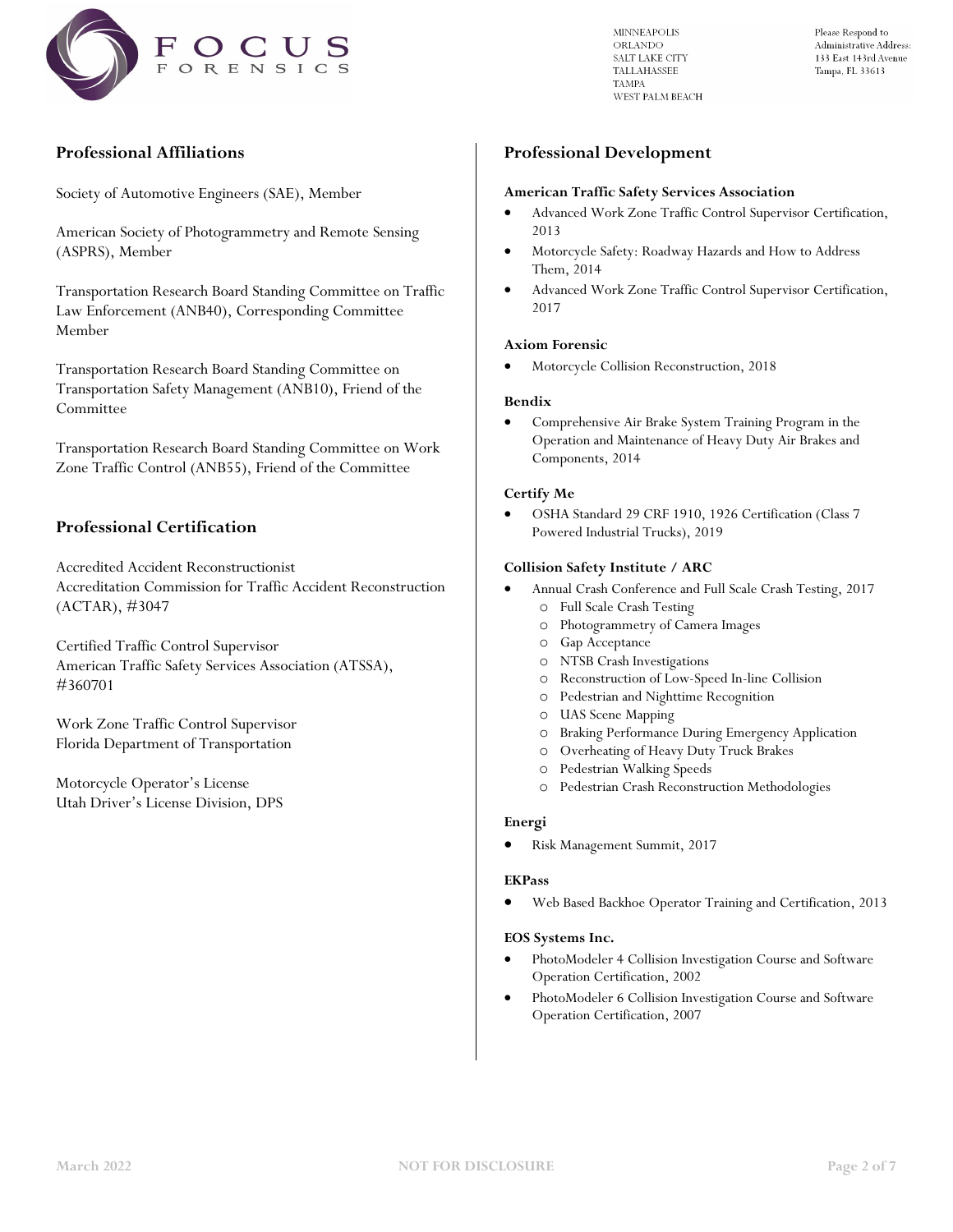

Please Respond to Administrative Address: 133 East 143rd Avenue Tampa, FL 33613

# **Professional Affiliations**

Society of Automotive Engineers (SAE), Member

American Society of Photogrammetry and Remote Sensing (ASPRS), Member

Transportation Research Board Standing Committee on Traffic Law Enforcement (ANB40), Corresponding Committee Member

Transportation Research Board Standing Committee on Transportation Safety Management (ANB10), Friend of the Committee

Transportation Research Board Standing Committee on Work Zone Traffic Control (ANB55), Friend of the Committee

## **Professional Certification**

Accredited Accident Reconstructionist Accreditation Commission for Traffic Accident Reconstruction (ACTAR), #3047

Certified Traffic Control Supervisor American Traffic Safety Services Association (ATSSA), #360701

Work Zone Traffic Control Supervisor Florida Department of Transportation

Motorcycle Operator's License Utah Driver's License Division, DPS

### **Professional Development**

#### **American Traffic Safety Services Association**

- Advanced Work Zone Traffic Control Supervisor Certification, 2013
- Motorcycle Safety: Roadway Hazards and How to Address Them, 2014
- Advanced Work Zone Traffic Control Supervisor Certification, 2017

#### **Axiom Forensic**

• Motorcycle Collision Reconstruction, 2018

#### **Bendix**

• Comprehensive Air Brake System Training Program in the Operation and Maintenance of Heavy Duty Air Brakes and Components, 2014

#### **Certify Me**

• OSHA Standard 29 CRF 1910, 1926 Certification (Class 7 Powered Industrial Trucks), 2019

#### **Collision Safety Institute / ARC**

- Annual Crash Conference and Full Scale Crash Testing, 2017 o Full Scale Crash Testing
	- o Photogrammetry of Camera Images
	- o Gap Acceptance
	- o NTSB Crash Investigations
	- o Reconstruction of Low-Speed In-line Collision
	- o Pedestrian and Nighttime Recognition
	- o UAS Scene Mapping
	- o Braking Performance During Emergency Application
	- o Overheating of Heavy Duty Truck Brakes
	- o Pedestrian Walking Speeds
	- o Pedestrian Crash Reconstruction Methodologies

#### **Energi**

• Risk Management Summit, 2017

#### **EKPass**

• Web Based Backhoe Operator Training and Certification, 2013

#### **EOS Systems Inc.**

- PhotoModeler 4 Collision Investigation Course and Software Operation Certification, 2002
- PhotoModeler 6 Collision Investigation Course and Software Operation Certification, 2007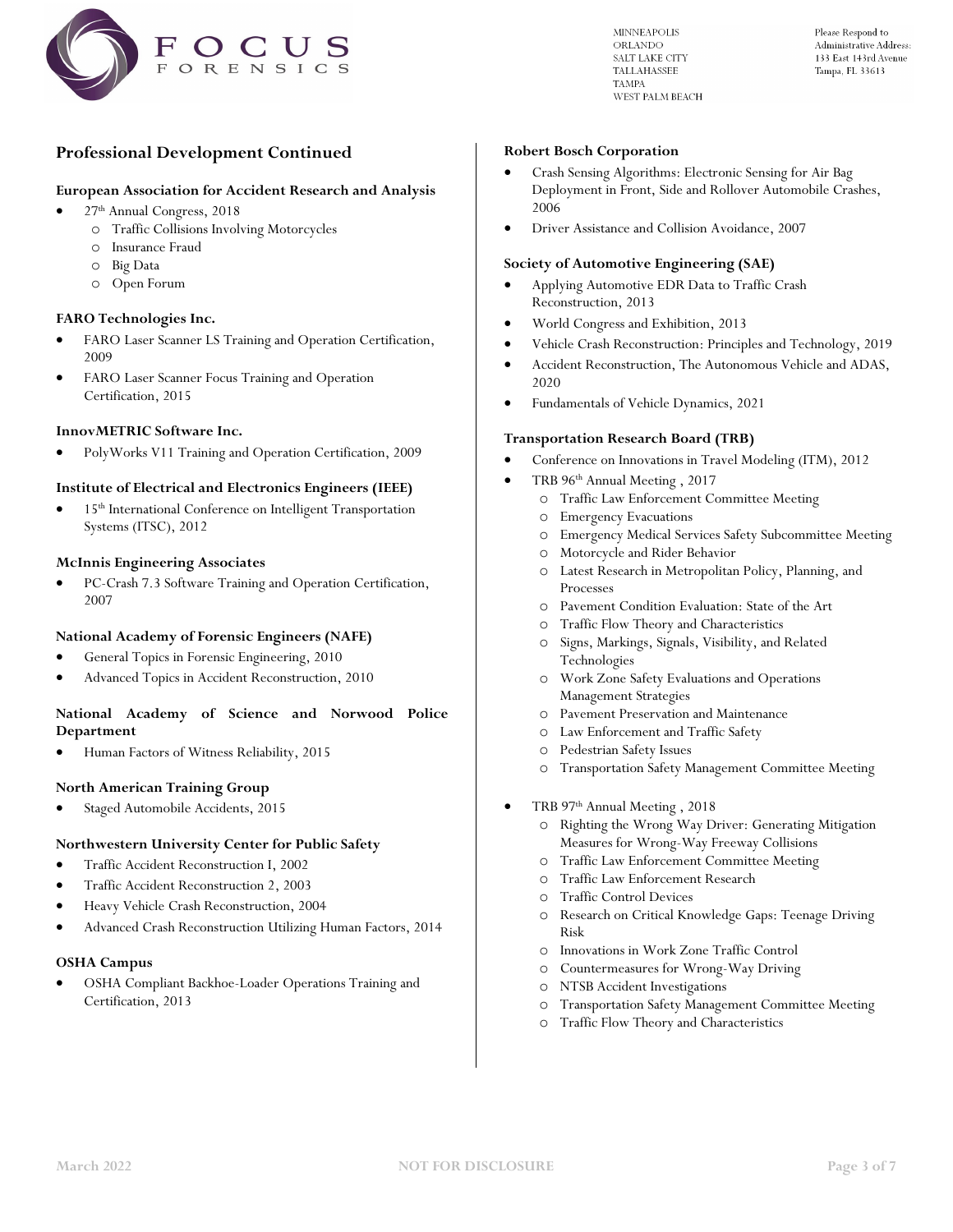

Please Respond to Administrative Address: 133 East 143rd Avenue Tampa, FL 33613

# **Professional Development Continued**

#### **European Association for Accident Research and Analysis**

- 27th Annual Congress, 2018
	- o Traffic Collisions Involving Motorcycles
	- o Insurance Fraud
	- o Big Data
	- o Open Forum

#### **FARO Technologies Inc.**

- FARO Laser Scanner LS Training and Operation Certification, 2009
- FARO Laser Scanner Focus Training and Operation Certification, 2015

#### **InnovMETRIC Software Inc.**

• PolyWorks V11 Training and Operation Certification, 2009

#### **Institute of Electrical and Electronics Engineers (IEEE)**

15<sup>th</sup> International Conference on Intelligent Transportation Systems (ITSC), 2012

#### **McInnis Engineering Associates**

• PC-Crash 7.3 Software Training and Operation Certification, 2007

### **National Academy of Forensic Engineers (NAFE)**

- General Topics in Forensic Engineering, 2010
- Advanced Topics in Accident Reconstruction, 2010

### **National Academy of Science and Norwood Police Department**

• Human Factors of Witness Reliability, 2015

#### **North American Training Group**

• Staged Automobile Accidents, 2015

### **Northwestern University Center for Public Safety**

- Traffic Accident Reconstruction I, 2002
- Traffic Accident Reconstruction 2, 2003
- Heavy Vehicle Crash Reconstruction, 2004
- Advanced Crash Reconstruction Utilizing Human Factors, 2014

#### **OSHA Campus**

• OSHA Compliant Backhoe-Loader Operations Training and Certification, 2013

#### **Robert Bosch Corporation**

- Crash Sensing Algorithms: Electronic Sensing for Air Bag Deployment in Front, Side and Rollover Automobile Crashes, 2006
- Driver Assistance and Collision Avoidance, 2007

#### **Society of Automotive Engineering (SAE)**

- Applying Automotive EDR Data to Traffic Crash Reconstruction, 2013
- World Congress and Exhibition, 2013
- Vehicle Crash Reconstruction: Principles and Technology, 2019
- Accident Reconstruction, The Autonomous Vehicle and ADAS, 2020
- Fundamentals of Vehicle Dynamics, 2021

#### **Transportation Research Board (TRB)**

- Conference on Innovations in Travel Modeling (ITM), 2012
- TRB 96th Annual Meeting , 2017
	- o Traffic Law Enforcement Committee Meeting
	- o Emergency Evacuations
	- o Emergency Medical Services Safety Subcommittee Meeting
	- o Motorcycle and Rider Behavior
	- o Latest Research in Metropolitan Policy, Planning, and Processes
	- o Pavement Condition Evaluation: State of the Art
	- o Traffic Flow Theory and Characteristics
	- o Signs, Markings, Signals, Visibility, and Related Technologies
	- o Work Zone Safety Evaluations and Operations Management Strategies
	- o Pavement Preservation and Maintenance
	- o Law Enforcement and Traffic Safety
	- o Pedestrian Safety Issues
	- o Transportation Safety Management Committee Meeting
- TRB 97th Annual Meeting , 2018
	- o Righting the Wrong Way Driver: Generating Mitigation Measures for Wrong-Way Freeway Collisions
	- o Traffic Law Enforcement Committee Meeting
	- o Traffic Law Enforcement Research
	- o Traffic Control Devices
	- o Research on Critical Knowledge Gaps: Teenage Driving Risk
	- o Innovations in Work Zone Traffic Control
	- o Countermeasures for Wrong-Way Driving
	- o NTSB Accident Investigations
	- o Transportation Safety Management Committee Meeting
	- o Traffic Flow Theory and Characteristics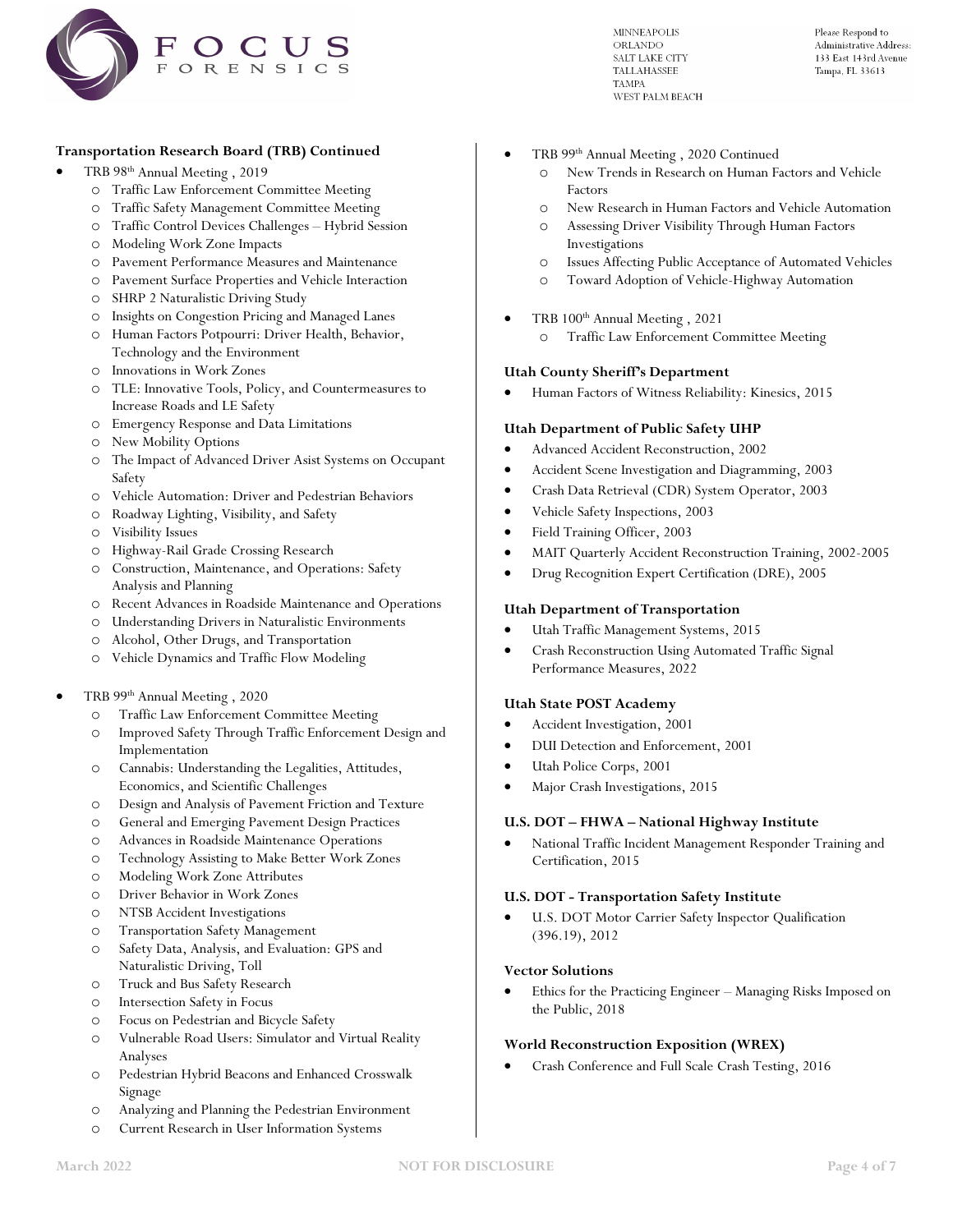

Please Respond to Administrative Address: 133 East 143rd Avenue Tampa, FL 33613

### **Transportation Research Board (TRB) Continued**

- TRB 98th Annual Meeting , 2019
	- o Traffic Law Enforcement Committee Meeting
	- o Traffic Safety Management Committee Meeting
	- o Traffic Control Devices Challenges Hybrid Session
	- o Modeling Work Zone Impacts
	- o Pavement Performance Measures and Maintenance
	- o Pavement Surface Properties and Vehicle Interaction
	- o SHRP 2 Naturalistic Driving Study
	- o Insights on Congestion Pricing and Managed Lanes
	- o Human Factors Potpourri: Driver Health, Behavior, Technology and the Environment
	- o Innovations in Work Zones
	- o TLE: Innovative Tools, Policy, and Countermeasures to Increase Roads and LE Safety
	- o Emergency Response and Data Limitations
	- o New Mobility Options
	- o The Impact of Advanced Driver Asist Systems on Occupant Safety
	- o Vehicle Automation: Driver and Pedestrian Behaviors
	- o Roadway Lighting, Visibility, and Safety
	- o Visibility Issues
	- o Highway-Rail Grade Crossing Research
	- o Construction, Maintenance, and Operations: Safety Analysis and Planning
	- o Recent Advances in Roadside Maintenance and Operations
	- o Understanding Drivers in Naturalistic Environments
	- o Alcohol, Other Drugs, and Transportation
	- o Vehicle Dynamics and Traffic Flow Modeling
- TRB 99th Annual Meeting , 2020
	- o Traffic Law Enforcement Committee Meeting
	- o Improved Safety Through Traffic Enforcement Design and Implementation
	- o Cannabis: Understanding the Legalities, Attitudes, Economics, and Scientific Challenges
	- o Design and Analysis of Pavement Friction and Texture
	- o General and Emerging Pavement Design Practices
	- o Advances in Roadside Maintenance Operations
	- o Technology Assisting to Make Better Work Zones
	- o Modeling Work Zone Attributes
	- o Driver Behavior in Work Zones
	- o NTSB Accident Investigations
	- o Transportation Safety Management
	- o Safety Data, Analysis, and Evaluation: GPS and Naturalistic Driving, Toll
	- o Truck and Bus Safety Research
	- o Intersection Safety in Focus
	- o Focus on Pedestrian and Bicycle Safety
	- o Vulnerable Road Users: Simulator and Virtual Reality Analyses
	- o Pedestrian Hybrid Beacons and Enhanced Crosswalk Signage
	- o Analyzing and Planning the Pedestrian Environment
	- o Current Research in User Information Systems
- TRB 99th Annual Meeting , 2020 Continued
	- o New Trends in Research on Human Factors and Vehicle Factors
	- o New Research in Human Factors and Vehicle Automation
	- o Assessing Driver Visibility Through Human Factors Investigations
	- o Issues Affecting Public Acceptance of Automated Vehicles
	- o Toward Adoption of Vehicle-Highway Automation
- TRB 100th Annual Meeting , 2021
	- o Traffic Law Enforcement Committee Meeting

### **Utah County Sheriff's Department**

• Human Factors of Witness Reliability: Kinesics, 2015

### **Utah Department of Public Safety UHP**

- Advanced Accident Reconstruction, 2002
- Accident Scene Investigation and Diagramming, 2003
- Crash Data Retrieval (CDR) System Operator, 2003
- Vehicle Safety Inspections, 2003
- Field Training Officer, 2003
- MAIT Quarterly Accident Reconstruction Training, 2002-2005
- Drug Recognition Expert Certification (DRE), 2005

### **Utah Department of Transportation**

- Utah Traffic Management Systems, 2015
- Crash Reconstruction Using Automated Traffic Signal Performance Measures, 2022

### **Utah State POST Academy**

- Accident Investigation, 2001
- DUI Detection and Enforcement, 2001
- Utah Police Corps, 2001
- Major Crash Investigations, 2015

### **U.S. DOT – FHWA – National Highway Institute**

• National Traffic Incident Management Responder Training and Certification, 2015

### **U.S. DOT - Transportation Safety Institute**

U.S. DOT Motor Carrier Safety Inspector Qualification (396.19), 2012

### **Vector Solutions**

• Ethics for the Practicing Engineer – Managing Risks Imposed on the Public, 2018

# **World Reconstruction Exposition (WREX)**

• Crash Conference and Full Scale Crash Testing, 2016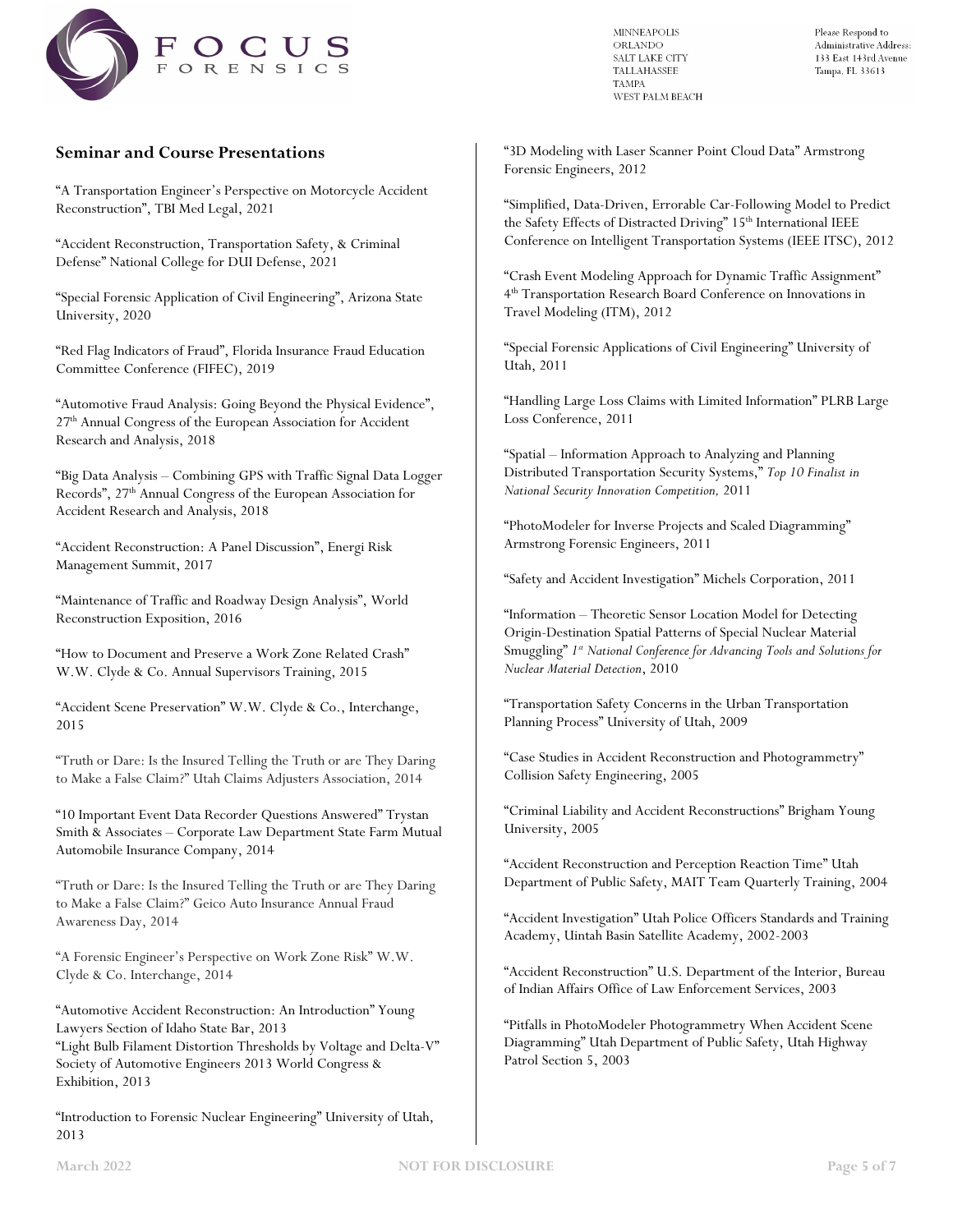

Please Respond to Administrative Address: 133 East 143rd Avenue Tampa, FL 33613

### **Seminar and Course Presentations**

"A Transportation Engineer's Perspective on Motorcycle Accident Reconstruction", TBI Med Legal, 2021

"Accident Reconstruction, Transportation Safety, & Criminal Defense" National College for DUI Defense, 2021

"Special Forensic Application of Civil Engineering", Arizona State University, 2020

"Red Flag Indicators of Fraud", Florida Insurance Fraud Education Committee Conference (FIFEC), 2019

"Automotive Fraud Analysis: Going Beyond the Physical Evidence", 27th Annual Congress of the European Association for Accident Research and Analysis, 2018

"Big Data Analysis – Combining GPS with Traffic Signal Data Logger Records", 27th Annual Congress of the European Association for Accident Research and Analysis, 2018

"Accident Reconstruction: A Panel Discussion", Energi Risk Management Summit, 2017

"Maintenance of Traffic and Roadway Design Analysis", World Reconstruction Exposition, 2016

"How to Document and Preserve a Work Zone Related Crash" W.W. Clyde & Co. Annual Supervisors Training, 2015

"Accident Scene Preservation" W.W. Clyde & Co., Interchange, 2015

"Truth or Dare: Is the Insured Telling the Truth or are They Daring to Make a False Claim?" Utah Claims Adjusters Association, 2014

"10 Important Event Data Recorder Questions Answered" Trystan Smith & Associates – Corporate Law Department State Farm Mutual Automobile Insurance Company, 2014

"Truth or Dare: Is the Insured Telling the Truth or are They Daring to Make a False Claim?" Geico Auto Insurance Annual Fraud Awareness Day, 2014

"A Forensic Engineer's Perspective on Work Zone Risk" W.W. Clyde & Co. Interchange, 2014

"Automotive Accident Reconstruction: An Introduction" Young Lawyers Section of Idaho State Bar, 2013 "Light Bulb Filament Distortion Thresholds by Voltage and Delta-V" Society of Automotive Engineers 2013 World Congress & Exhibition, 2013

"Introduction to Forensic Nuclear Engineering" University of Utah, 2013

"3D Modeling with Laser Scanner Point Cloud Data" Armstrong Forensic Engineers, 2012

"Simplified, Data-Driven, Errorable Car-Following Model to Predict the Safety Effects of Distracted Driving" 15<sup>th</sup> International IEEE Conference on Intelligent Transportation Systems (IEEE ITSC), 2012

"Crash Event Modeling Approach for Dynamic Traffic Assignment" 4th Transportation Research Board Conference on Innovations in Travel Modeling (ITM), 2012

"Special Forensic Applications of Civil Engineering" University of Utah, 2011

"Handling Large Loss Claims with Limited Information" PLRB Large Loss Conference, 2011

"Spatial – Information Approach to Analyzing and Planning Distributed Transportation Security Systems," *Top 10 Finalist in National Security Innovation Competition,* 2011

"PhotoModeler for Inverse Projects and Scaled Diagramming" Armstrong Forensic Engineers, 2011

"Safety and Accident Investigation" Michels Corporation, 2011

"Information – Theoretic Sensor Location Model for Detecting Origin-Destination Spatial Patterns of Special Nuclear Material Smuggling" *1st National Conference for Advancing Tools and Solutions for Nuclear Material Detection*, 2010

"Transportation Safety Concerns in the Urban Transportation Planning Process" University of Utah, 2009

"Case Studies in Accident Reconstruction and Photogrammetry" Collision Safety Engineering, 2005

"Criminal Liability and Accident Reconstructions" Brigham Young University, 2005

"Accident Reconstruction and Perception Reaction Time" Utah Department of Public Safety, MAIT Team Quarterly Training, 2004

"Accident Investigation" Utah Police Officers Standards and Training Academy, Uintah Basin Satellite Academy, 2002-2003

"Accident Reconstruction" U.S. Department of the Interior, Bureau of Indian Affairs Office of Law Enforcement Services, 2003

"Pitfalls in PhotoModeler Photogrammetry When Accident Scene Diagramming" Utah Department of Public Safety, Utah Highway Patrol Section 5, 2003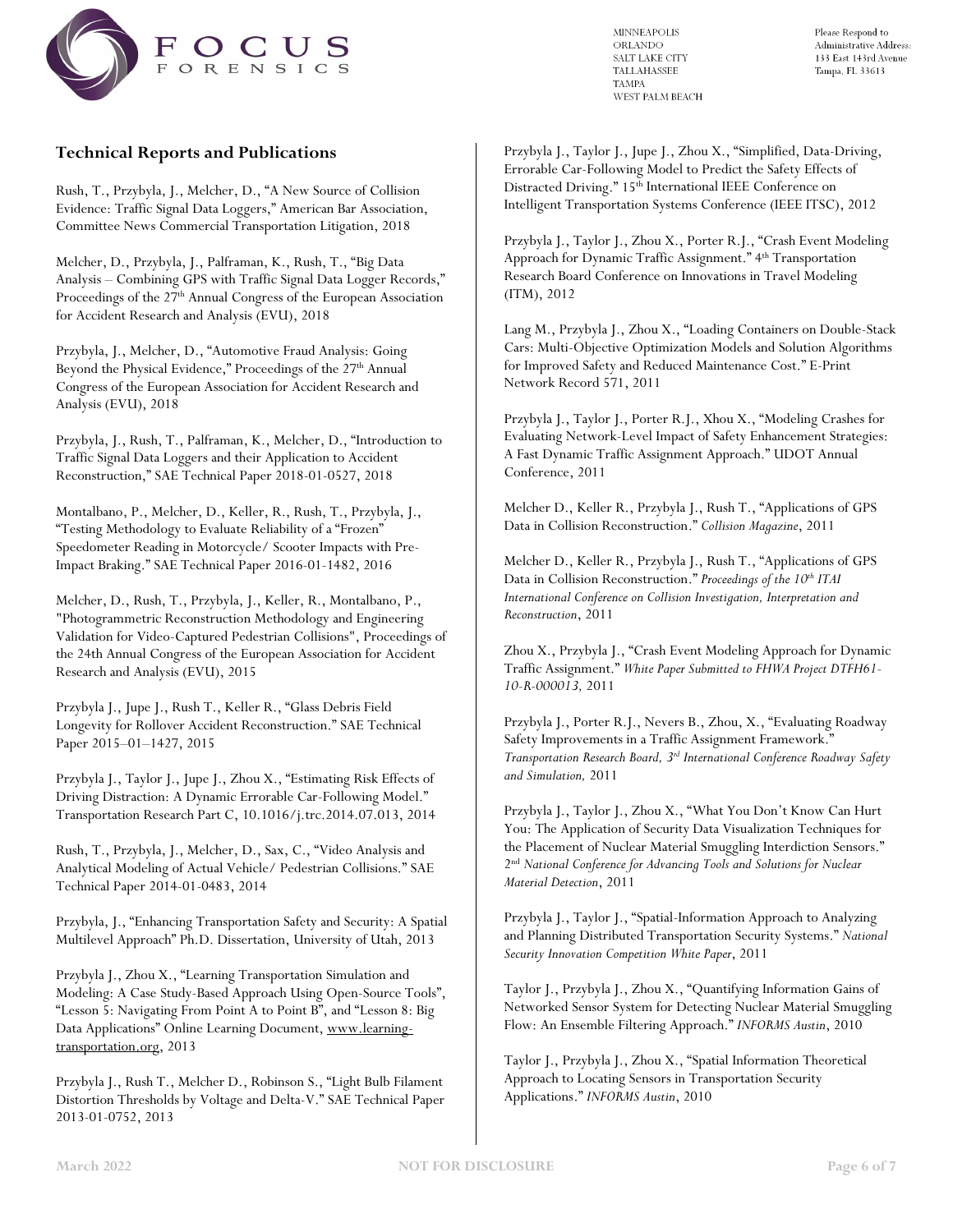

Please Respond to Administrative Address: 133 East 143rd Avenue Tampa, FL 33613

# **Technical Reports and Publications**

Rush, T., Przybyla, J., Melcher, D., "A New Source of Collision Evidence: Traffic Signal Data Loggers," American Bar Association, Committee News Commercial Transportation Litigation, 2018

Melcher, D., Przybyla, J., Palframan, K., Rush, T., "Big Data Analysis – Combining GPS with Traffic Signal Data Logger Records," Proceedings of the 27<sup>th</sup> Annual Congress of the European Association for Accident Research and Analysis (EVU), 2018

Przybyla, J., Melcher, D., "Automotive Fraud Analysis: Going Beyond the Physical Evidence," Proceedings of the 27<sup>th</sup> Annual Congress of the European Association for Accident Research and Analysis (EVU), 2018

Przybyla, J., Rush, T., Palframan, K., Melcher, D., "Introduction to Traffic Signal Data Loggers and their Application to Accident Reconstruction," SAE Technical Paper 2018-01-0527, 2018

Montalbano, P., Melcher, D., Keller, R., Rush, T., Przybyla, J., "Testing Methodology to Evaluate Reliability of a "Frozen" Speedometer Reading in Motorcycle/ Scooter Impacts with Pre-Impact Braking." SAE Technical Paper 2016-01-1482, 2016

Melcher, D., Rush, T., Przybyla, J., Keller, R., Montalbano, P., "Photogrammetric Reconstruction Methodology and Engineering Validation for Video-Captured Pedestrian Collisions", Proceedings of the 24th Annual Congress of the European Association for Accident Research and Analysis (EVU), 2015

Przybyla J., Jupe J., Rush T., Keller R., "Glass Debris Field Longevity for Rollover Accident Reconstruction." SAE Technical Paper 2015–01–1427, 2015

Przybyla J., Taylor J., Jupe J., Zhou X., "Estimating Risk Effects of Driving Distraction: A Dynamic Errorable Car-Following Model." Transportation Research Part C, 10.1016/j.trc.2014.07.013, 2014

Rush, T., Przybyla, J., Melcher, D., Sax, C., "Video Analysis and Analytical Modeling of Actual Vehicle/ Pedestrian Collisions." SAE Technical Paper 2014-01-0483, 2014

Przybyla, J., "Enhancing Transportation Safety and Security: A Spatial Multilevel Approach" Ph.D. Dissertation, University of Utah, 2013

Przybyla J., Zhou X., "Learning Transportation Simulation and Modeling: A Case Study-Based Approach Using Open-Source Tools", "Lesson 5: Navigating From Point A to Point B", and "Lesson 8: Big Data Applications" Online Learning Document[, www.learning](http://www.learning-transportation.org/)[transportation.org,](http://www.learning-transportation.org/) 2013

Przybyla J., Rush T., Melcher D., Robinson S., "Light Bulb Filament Distortion Thresholds by Voltage and Delta-V." SAE Technical Paper 2013-01-0752, 2013

Przybyla J., Taylor J., Jupe J., Zhou X., "Simplified, Data-Driving, Errorable Car-Following Model to Predict the Safety Effects of Distracted Driving." 15<sup>th</sup> International IEEE Conference on Intelligent Transportation Systems Conference (IEEE ITSC), 2012

Przybyla J., Taylor J., Zhou X., Porter R.J., "Crash Event Modeling Approach for Dynamic Traffic Assignment." 4<sup>th</sup> Transportation Research Board Conference on Innovations in Travel Modeling (ITM), 2012

Lang M., Przybyla J., Zhou X., "Loading Containers on Double-Stack Cars: Multi-Objective Optimization Models and Solution Algorithms for Improved Safety and Reduced Maintenance Cost." E-Print Network Record 571, 2011

Przybyla J., Taylor J., Porter R.J., Xhou X., "Modeling Crashes for Evaluating Network-Level Impact of Safety Enhancement Strategies: A Fast Dynamic Traffic Assignment Approach." UDOT Annual Conference, 2011

Melcher D., Keller R., Przybyla J., Rush T., "Applications of GPS Data in Collision Reconstruction." *Collision Magazine*, 2011

Melcher D., Keller R., Przybyla J., Rush T., "Applications of GPS Data in Collision Reconstruction." *Proceedings of the 10<sup>th</sup> ITAI International Conference on Collision Investigation, Interpretation and Reconstruction*, 2011

Zhou X., Przybyla J., "Crash Event Modeling Approach for Dynamic Traffic Assignment." *White Paper Submitted to FHWA Project DTFH61- 10-R-000013,* 2011

Przybyla J., Porter R.J., Nevers B., Zhou, X., "Evaluating Roadway Safety Improvements in a Traffic Assignment Framework." *Transportation Research Board, 3rd International Conference Roadway Safety and Simulation,* 2011

Przybyla J., Taylor J., Zhou X., "What You Don't Know Can Hurt You: The Application of Security Data Visualization Techniques for the Placement of Nuclear Material Smuggling Interdiction Sensors." 2nd *National Conference for Advancing Tools and Solutions for Nuclear Material Detection*, 2011

Przybyla J., Taylor J., "Spatial-Information Approach to Analyzing and Planning Distributed Transportation Security Systems." *National Security Innovation Competition White Paper*, 2011

Taylor J., Przybyla J., Zhou X., "Quantifying Information Gains of Networked Sensor System for Detecting Nuclear Material Smuggling Flow: An Ensemble Filtering Approach." *INFORMS Austin*, 2010

Taylor J., Przybyla J., Zhou X., "Spatial Information Theoretical Approach to Locating Sensors in Transportation Security Applications." *INFORMS Austin*, 2010